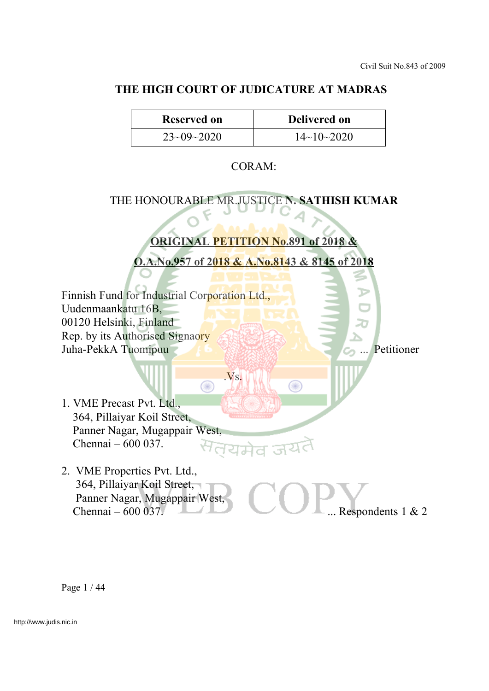### **THE HIGH COURT OF JUDICATURE AT MADRAS**

| <b>Reserved on</b> | <b>Delivered on</b>    |
|--------------------|------------------------|
| $23 - 09 - 2020$   | $14 \sim 10 \sim 2020$ |

#### CORAM:

### THE HONOURABLE MR.JUSTICE **N. SATHISH KUMAR**

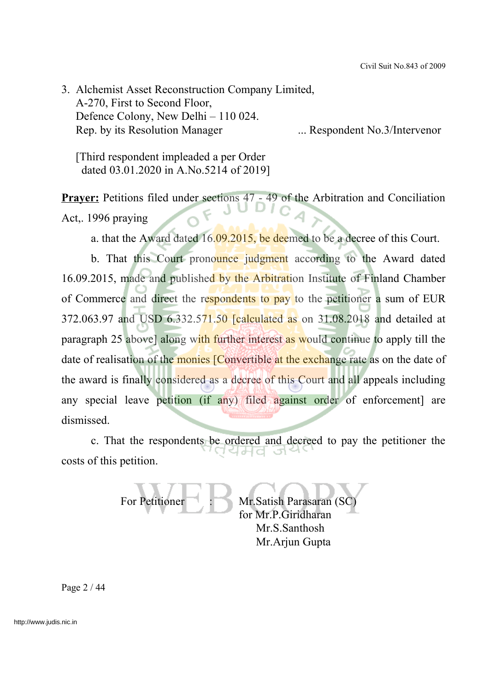3. Alchemist Asset Reconstruction Company Limited, A-270, First to Second Floor, Defence Colony, New Delhi – 110 024. Rep. by its Resolution Manager ... Respondent No. 3/Intervenor

 [Third respondent impleaded a per Order dated 03.01.2020 in A.No.5214 of 2019]

**Prayer:** Petitions filed under sections 47 - 49 of the Arbitration and Conciliation Act,. 1996 praying

a. that the Award dated 16.09.2015, be deemed to be a decree of this Court.

b. That this Court pronounce judgment according to the Award dated 16.09.2015, made and published by the Arbitration Institute of Finland Chamber of Commerce and direct the respondents to pay to the petitioner a sum of EUR 372.063.97 and USD 6.332.571.50 [calculated as on 31.08.2018 and detailed at paragraph 25 above] along with further interest as would continue to apply till the date of realisation of the monies [Convertible at the exchange rate as on the date of the award is finally considered as a decree of this Court and all appeals including any special leave petition (if any) filed against order of enforcement] are dismissed.

c. That the respondents be ordered and decreed to pay the petitioner the 스러커의 작 costs of this petition.

For Petitioner : Mr. Satish Parasaran (SC) for Mr.P.Giridharan Mr.S.Santhosh Mr.Arjun Gupta

Page 2 / 44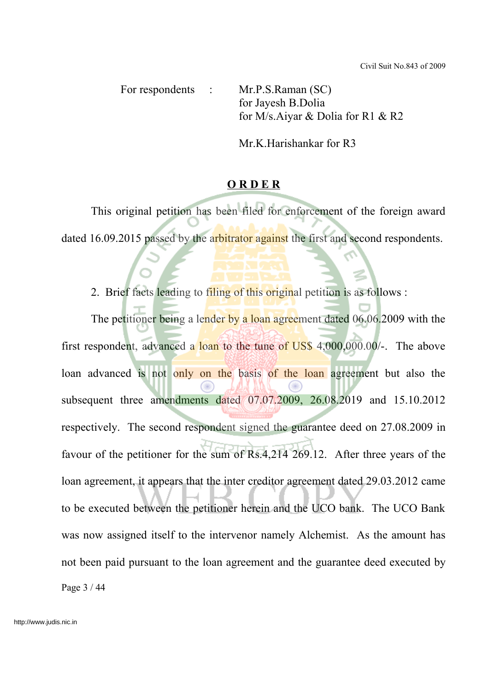For respondents : Mr.P.S.Raman (SC) for Jayesh B.Dolia for M/s.Aiyar & Dolia for R1 & R2

Mr.K.Harishankar for R3

### **O R D E R**

This original petition has been filed for enforcement of the foreign award dated 16.09.2015 passed by the arbitrator against the first and second respondents.

2. Brief facts leading to filing of this original petition is as follows :

The petitioner being a lender by a loan agreement dated 06.06.2009 with the first respondent, advanced a loan to the tune of US\$ 4,000,000.00/-. The above loan advanced is not only on the basis of the loan agreement but also the subsequent three amendments dated 07.07.2009, 26.08.2019 and 15.10.2012 respectively. The second respondent signed the guarantee deed on 27.08.2009 in favour of the petitioner for the sum of Rs.4,214 269.12. After three years of the loan agreement, it appears that the inter creditor agreement dated 29.03.2012 came to be executed between the petitioner herein and the UCO bank. The UCO Bank was now assigned itself to the intervenor namely Alchemist. As the amount has not been paid pursuant to the loan agreement and the guarantee deed executed by Page 3 / 44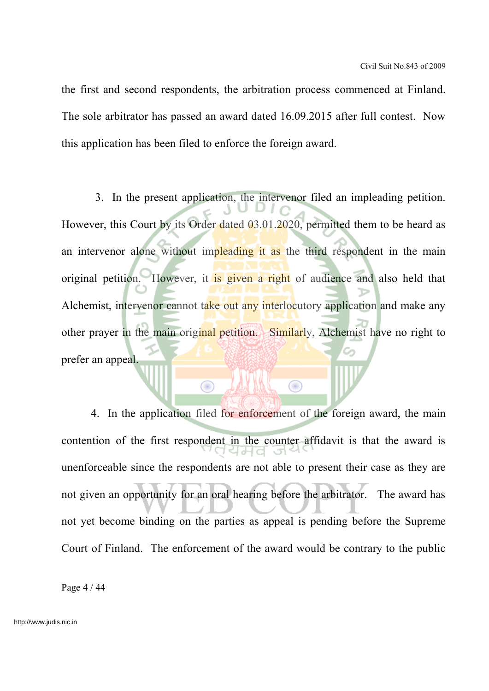the first and second respondents, the arbitration process commenced at Finland. The sole arbitrator has passed an award dated 16.09.2015 after full contest. Now this application has been filed to enforce the foreign award.

3. In the present application, the intervenor filed an impleading petition. However, this Court by its Order dated 03.01.2020, permitted them to be heard as an intervenor alone without impleading it as the third respondent in the main original petition. However, it is given a right of audience and also held that Alchemist, intervenor cannot take out any interlocutory application and make any other prayer in the main original petition. Similarly, Alchemist have no right to prefer an appeal.

4. In the application filed for enforcement of the foreign award, the main contention of the first respondent in the counter affidavit is that the award is unenforceable since the respondents are not able to present their case as they are not given an opportunity for an oral hearing before the arbitrator. The award has not yet become binding on the parties as appeal is pending before the Supreme Court of Finland. The enforcement of the award would be contrary to the public

 $\bigcirc$ 

 $\bigcirc$ 

Page 4 / 44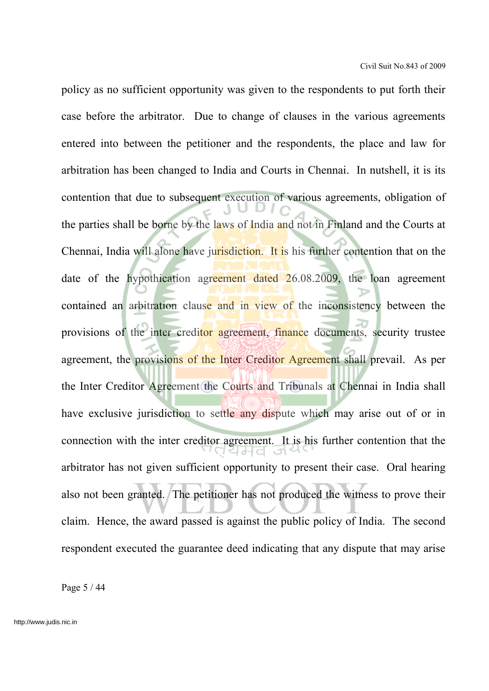policy as no sufficient opportunity was given to the respondents to put forth their case before the arbitrator. Due to change of clauses in the various agreements entered into between the petitioner and the respondents, the place and law for arbitration has been changed to India and Courts in Chennai. In nutshell, it is its contention that due to subsequent execution of various agreements, obligation of the parties shall be borne by the laws of India and not in Finland and the Courts at Chennai, India will alone have jurisdiction. It is his further contention that on the date of the hypothication agreement dated 26.08.2009, the loan agreement contained an arbitration clause and in view of the inconsistency between the provisions of the inter creditor agreement, finance documents, security trustee agreement, the provisions of the Inter Creditor Agreement shall prevail. As per the Inter Creditor Agreement the Courts and Tribunals at Chennai in India shall have exclusive jurisdiction to settle any dispute which may arise out of or in connection with the inter creditor agreement. It is his further contention that the arbitrator has not given sufficient opportunity to present their case. Oral hearing also not been granted. The petitioner has not produced the witness to prove their claim. Hence, the award passed is against the public policy of India. The second respondent executed the guarantee deed indicating that any dispute that may arise

Page 5 / 44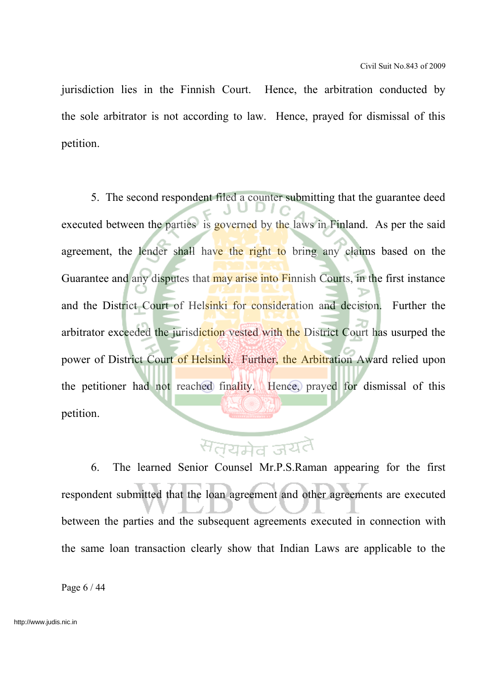jurisdiction lies in the Finnish Court. Hence, the arbitration conducted by the sole arbitrator is not according to law. Hence, prayed for dismissal of this petition.

5. The second respondent filed a counter submitting that the guarantee deed executed between the parties is governed by the laws in Finland. As per the said agreement, the lender shall have the right to bring any claims based on the Guarantee and any disputes that may arise into Finnish Courts, in the first instance and the District Court of Helsinki for consideration and decision. Further the arbitrator exceeded the jurisdiction vested with the District Court has usurped the power of District Court of Helsinki. Further, the Arbitration Award relied upon the petitioner had not reached finality. Hence, prayed for dismissal of this petition.

## सतयमेव जयते

6. The learned Senior Counsel Mr.P.S.Raman appearing for the first respondent submitted that the loan agreement and other agreements are executed between the parties and the subsequent agreements executed in connection with the same loan transaction clearly show that Indian Laws are applicable to the

Page 6 / 44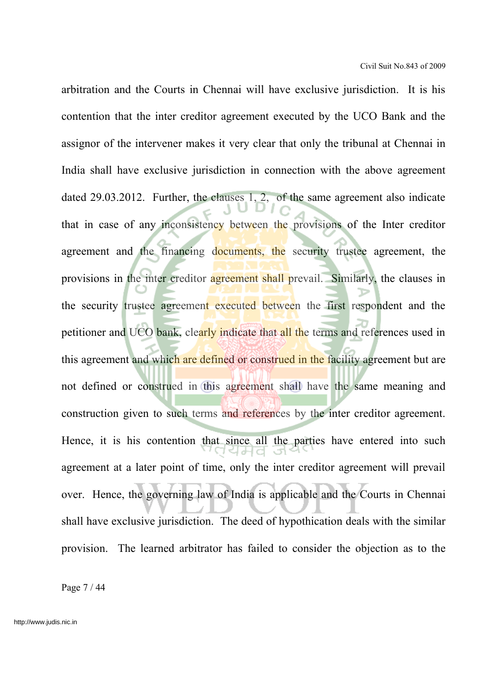arbitration and the Courts in Chennai will have exclusive jurisdiction. It is his contention that the inter creditor agreement executed by the UCO Bank and the assignor of the intervener makes it very clear that only the tribunal at Chennai in India shall have exclusive jurisdiction in connection with the above agreement dated 29.03.2012. Further, the clauses 1, 2, of the same agreement also indicate that in case of any inconsistency between the provisions of the Inter creditor agreement and the financing documents, the security trustee agreement, the provisions in the inter creditor agreement shall prevail. Similarly, the clauses in the security trustee agreement executed between the first respondent and the petitioner and UCO bank, clearly indicate that all the terms and references used in this agreement and which are defined or construed in the facility agreement but are not defined or construed in this agreement shall have the same meaning and construction given to such terms and references by the inter creditor agreement. Hence, it is his contention that since all the parties have entered into such agreement at a later point of time, only the inter creditor agreement will prevail over. Hence, the governing law of India is applicable and the Courts in Chennai shall have exclusive jurisdiction. The deed of hypothication deals with the similar provision. The learned arbitrator has failed to consider the objection as to the

Page 7 / 44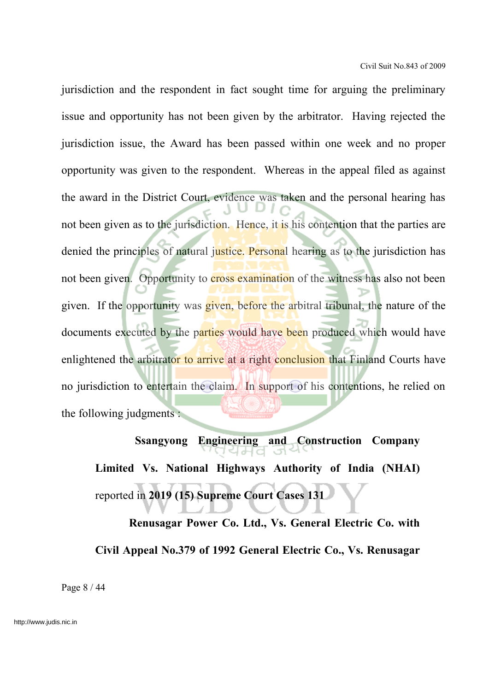jurisdiction and the respondent in fact sought time for arguing the preliminary issue and opportunity has not been given by the arbitrator. Having rejected the jurisdiction issue, the Award has been passed within one week and no proper opportunity was given to the respondent. Whereas in the appeal filed as against the award in the District Court, evidence was taken and the personal hearing has not been given as to the jurisdiction. Hence, it is his contention that the parties are denied the principles of natural justice. Personal hearing as to the jurisdiction has not been given. Opportunity to cross examination of the witness has also not been given. If the opportunity was given, before the arbitral tribunal, the nature of the documents executed by the parties would have been produced which would have enlightened the arbitrator to arrive at a right conclusion that Finland Courts have no jurisdiction to entertain the claim. In support of his contentions, he relied on the following judgments :

**Ssangyong Engineering and Construction Company Limited Vs. National Highways Authority of India (NHAI)** reported in **2019 (15) Supreme Court Cases 131**

**Renusagar Power Co. Ltd., Vs. General Electric Co. with Civil Appeal No.379 of 1992 General Electric Co., Vs. Renusagar**

Page 8 / 44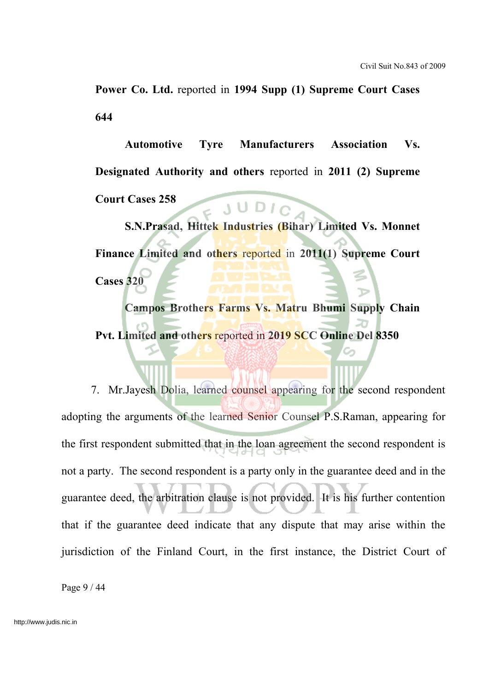**Power Co. Ltd.** reported in **1994 Supp (1) Supreme Court Cases 644**

**Automotive Tyre Manufacturers Association Vs. Designated Authority and others** reported in **2011 (2) Supreme Court Cases 258** JUDI

**S.N.Prasad, Hittek Industries (Bihar) Limited Vs. Monnet Finance Limited and others** reported in **2011(1) Supreme Court Cases 320**

**Campos Brothers Farms Vs. Matru Bhumi Supply Chain Pvt. Limited and others** reported in **2019 SCC Online Del 8350**

7. Mr.Jayesh Dolia, learned counsel appearing for the second respondent adopting the arguments of the learned Senior Counsel P.S.Raman, appearing for the first respondent submitted that in the loan agreement the second respondent is not a party. The second respondent is a party only in the guarantee deed and in the guarantee deed, the arbitration clause is not provided. It is his further contention that if the guarantee deed indicate that any dispute that may arise within the jurisdiction of the Finland Court, in the first instance, the District Court of

Page 9 / 44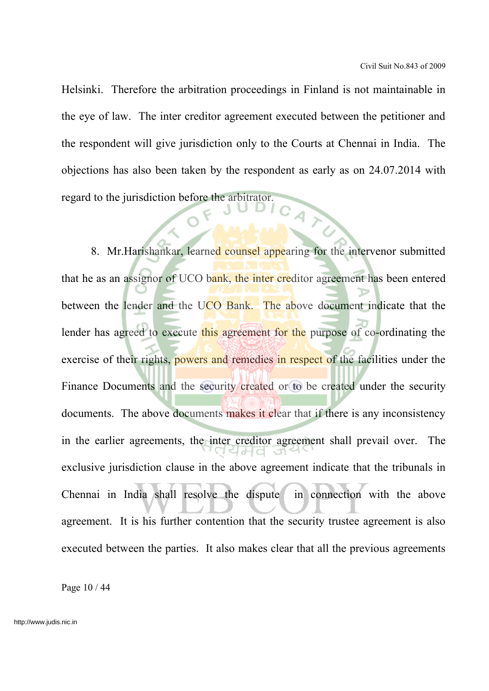Helsinki. Therefore the arbitration proceedings in Finland is not maintainable in the eye of law. The inter creditor agreement executed between the petitioner and the respondent will give jurisdiction only to the Courts at Chennai in India. The objections has also been taken by the respondent as early as on 24.07.2014 with regard to the jurisdiction before the arbitrator.

8. Mr. Harishankar, learned counsel appearing for the intervenor submitted that he as an assignor of UCO bank, the inter creditor agreement has been entered between the lender and the UCO Bank. The above document indicate that the lender has agreed to execute this agreement for the purpose of co-ordinating the exercise of their rights, powers and remedies in respect of the facilities under the Finance Documents and the security created or to be created under the security documents. The above documents makes it clear that if there is any inconsistency in the earlier agreements, the inter creditor agreement shall prevail over. The exclusive jurisdiction clause in the above agreement indicate that the tribunals in Chennai in India shall resolve the dispute in connection with the above agreement. It is his further contention that the security trustee agreement is also executed between the parties. It also makes clear that all the previous agreements

Page 10 / 44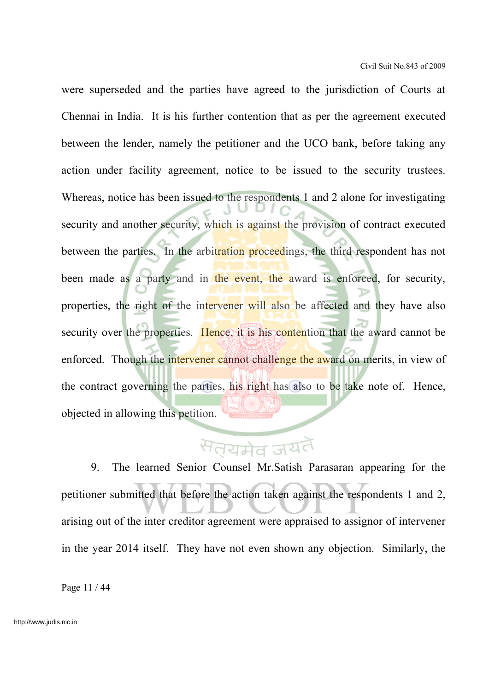were superseded and the parties have agreed to the jurisdiction of Courts at Chennai in India. It is his further contention that as per the agreement executed between the lender, namely the petitioner and the UCO bank, before taking any action under facility agreement, notice to be issued to the security trustees. Whereas, notice has been issued to the respondents 1 and 2 alone for investigating security and another security, which is against the provision of contract executed between the parties. In the arbitration proceedings, the third respondent has not been made as a party and in the event, the award is enforced, for security, properties, the right of the intervener will also be affected and they have also security over the properties. Hence, it is his contention that the award cannot be enforced. Though the intervener cannot challenge the award on merits, in view of the contract governing the parties, his right has also to be take note of. Hence, objected in allowing this petition.

# सतयमेव जयतै

9. The learned Senior Counsel Mr.Satish Parasaran appearing for the petitioner submitted that before the action taken against the respondents 1 and 2, arising out of the inter creditor agreement were appraised to assignor of intervener in the year 2014 itself. They have not even shown any objection. Similarly, the

Page 11 / 44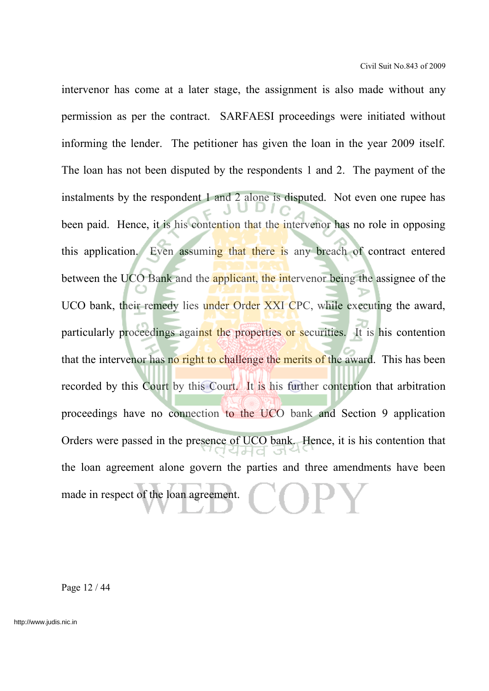intervenor has come at a later stage, the assignment is also made without any permission as per the contract. SARFAESI proceedings were initiated without informing the lender. The petitioner has given the loan in the year 2009 itself. The loan has not been disputed by the respondents 1 and 2. The payment of the instalments by the respondent 1 and 2 alone is disputed. Not even one rupee has been paid. Hence, it is his contention that the intervenor has no role in opposing this application. Even assuming that there is any breach of contract entered between the UCO Bank and the **applicant**, the intervenor being the assignee of the UCO bank, their remedy lies under Order XXI CPC, while executing the award, particularly proceedings against the properties or securities. It is his contention that the intervenor has no right to challenge the merits of the award. This has been recorded by this Court by this Court. It is his further contention that arbitration proceedings have no connection to the UCO bank and Section 9 application Orders were passed in the presence of UCO bank. Hence, it is his contention that the loan agreement alone govern the parties and three amendments have been made in respect of the loan agreement.

Page 12 / 44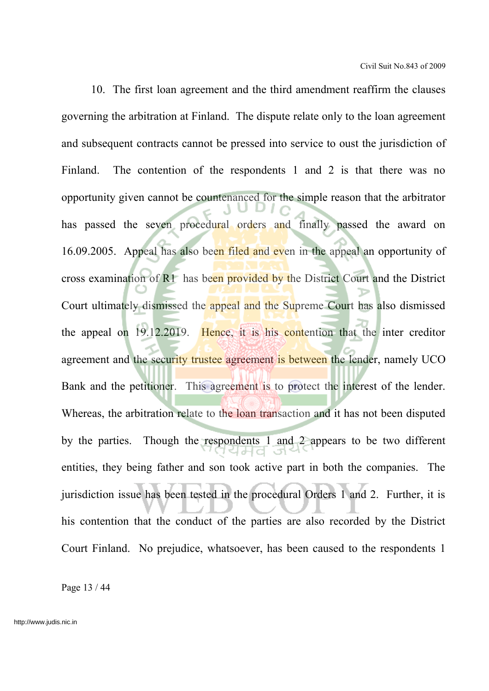10. The first loan agreement and the third amendment reaffirm the clauses governing the arbitration at Finland. The dispute relate only to the loan agreement and subsequent contracts cannot be pressed into service to oust the jurisdiction of Finland. The contention of the respondents 1 and 2 is that there was no opportunity given cannot be countenanced for the simple reason that the arbitrator has passed the seven procedural orders and finally passed the award on 16.09.2005. Appeal has also been filed and even in the appeal an opportunity of cross examination of R1 has been provided by the District Court and the District Court ultimately dismissed the appeal and the Supreme Court has also dismissed the appeal on 19.12.2019. Hence, it is his contention that the inter creditor agreement and the security trustee agreement is between the lender, namely UCO Bank and the petitioner. This agreement is to protect the interest of the lender. Whereas, the arbitration relate to the loan transaction and it has not been disputed by the parties. Though the respondents 1 and 2 appears to be two different entities, they being father and son took active part in both the companies. The jurisdiction issue has been tested in the procedural Orders 1 and 2. Further, it is his contention that the conduct of the parties are also recorded by the District Court Finland. No prejudice, whatsoever, has been caused to the respondents 1

Page 13 / 44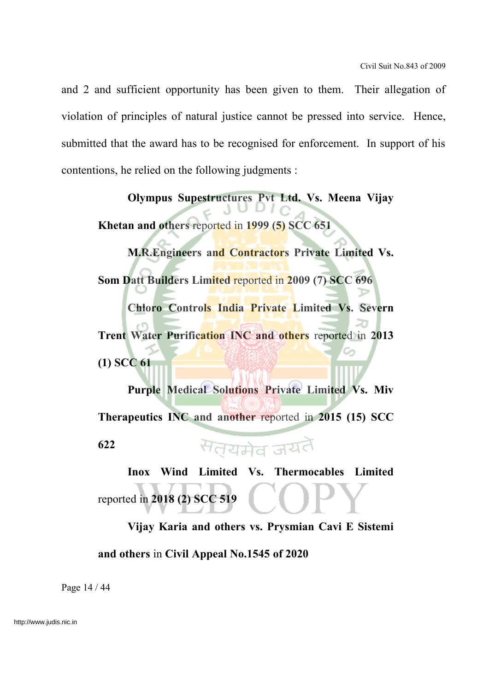and 2 and sufficient opportunity has been given to them. Their allegation of violation of principles of natural justice cannot be pressed into service. Hence, submitted that the award has to be recognised for enforcement. In support of his contentions, he relied on the following judgments :

**Olympus Supestructures Pvt Ltd. Vs. Meena Vijay Khetan and others** reported in **1999 (5) SCC 651**

**M.R.Engineers and Contractors Private Limited Vs. Som Datt Builders Limited** reported in **2009 (7) SCC 696 Chloro Controls India Private Limited Vs. Severn Trent Water Purification INC and others** reported in **2013**

**(1) SCC 61**

**Purple Medical Solutions Private Limited Vs. Miv Therapeutics INC and another** reported in **2015 (15) SCC** सतयमेव जयतै **622**

**Inox Wind Limited Vs. Thermocables Limited** reported in **2018 (2) SCC 519**

**Vijay Karia and others vs. Prysmian Cavi E Sistemi and others** in **Civil Appeal No.1545 of 2020**

Page 14 / 44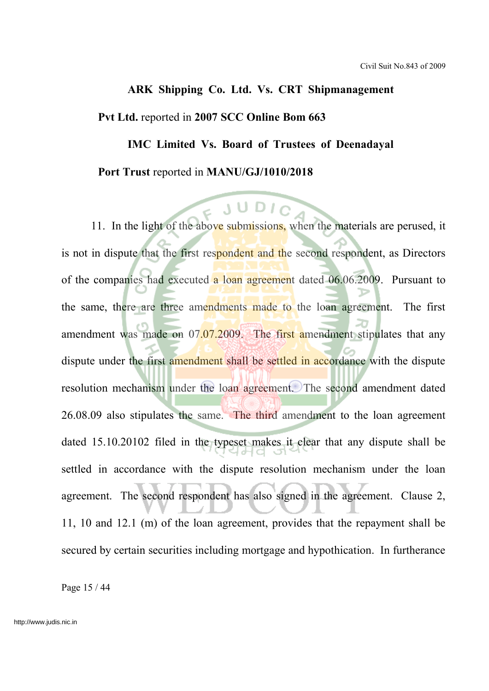#### **ARK Shipping Co. Ltd. Vs. CRT Shipmanagement**

#### **Pvt Ltd.** reported in **2007 SCC Online Bom 663**

### **IMC Limited Vs. Board of Trustees of Deenadayal Port Trust** reported in **MANU/GJ/1010/2018**

11. In the light of the above submissions, when the materials are perused, it is not in dispute that the first respondent and the second respondent, as Directors of the companies had executed a loan agreement dated 06.06.2009. Pursuant to the same, there are three amendments made to the loan agreement. The first amendment was made on 07.07.2009. The first amendment stipulates that any dispute under the first amendment shall be settled in accordance with the dispute resolution mechanism under the loan agreement. The second amendment dated 26.08.09 also stipulates the same. The third amendment to the loan agreement dated 15.10.20102 filed in the typeset makes it clear that any dispute shall be settled in accordance with the dispute resolution mechanism under the loan agreement. The second respondent has also signed in the agreement. Clause 2, 11, 10 and 12.1 (m) of the loan agreement, provides that the repayment shall be secured by certain securities including mortgage and hypothication. In furtherance

Page 15 / 44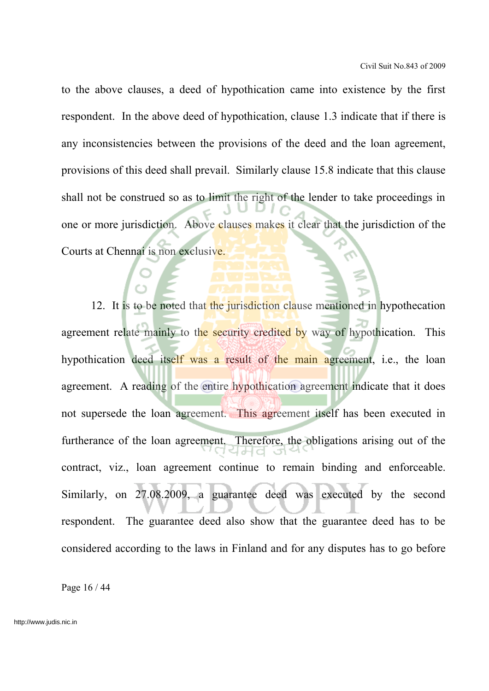to the above clauses, a deed of hypothication came into existence by the first respondent. In the above deed of hypothication, clause 1.3 indicate that if there is any inconsistencies between the provisions of the deed and the loan agreement, provisions of this deed shall prevail. Similarly clause 15.8 indicate that this clause shall not be construed so as to limit the right of the lender to take proceedings in one or more jurisdiction. Above clauses makes it clear that the jurisdiction of the Courts at Chennai is non exclusive.

12. It is to be noted that the jurisdiction clause mentioned in hypothecation agreement relate mainly to the security credited by way of hypothication. This hypothication deed itself was a result of the main agreement, i.e., the loan agreement. A reading of the entire hypothication agreement indicate that it does not supersede the loan agreement. This agreement itself has been executed in furtherance of the loan agreement. Therefore, the obligations arising out of the contract, viz., loan agreement continue to remain binding and enforceable. Similarly, on 27.08.2009, a guarantee deed was executed by the second respondent. The guarantee deed also show that the guarantee deed has to be considered according to the laws in Finland and for any disputes has to go before

Page 16 / 44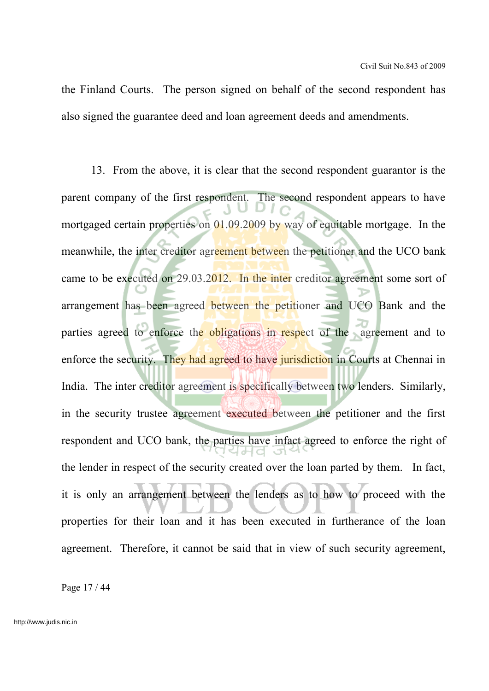the Finland Courts. The person signed on behalf of the second respondent has also signed the guarantee deed and loan agreement deeds and amendments.

13. From the above, it is clear that the second respondent guarantor is the parent company of the first respondent. The second respondent appears to have mortgaged certain properties on 01.09.2009 by way of equitable mortgage. In the meanwhile, the inter creditor agreement between the petitioner and the UCO bank came to be executed on 29.03.2012. In the inter creditor agreement some sort of arrangement has been agreed between the petitioner and UCO Bank and the parties agreed to enforce the obligations in respect of the agreement and to enforce the security. They had agreed to have jurisdiction in Courts at Chennai in India. The inter creditor agreement is specifically between two lenders. Similarly, in the security trustee agreement executed between the petitioner and the first respondent and UCO bank, the parties have infact agreed to enforce the right of the lender in respect of the security created over the loan parted by them. In fact, it is only an arrangement between the lenders as to how to proceed with the properties for their loan and it has been executed in furtherance of the loan agreement. Therefore, it cannot be said that in view of such security agreement,

Page 17 / 44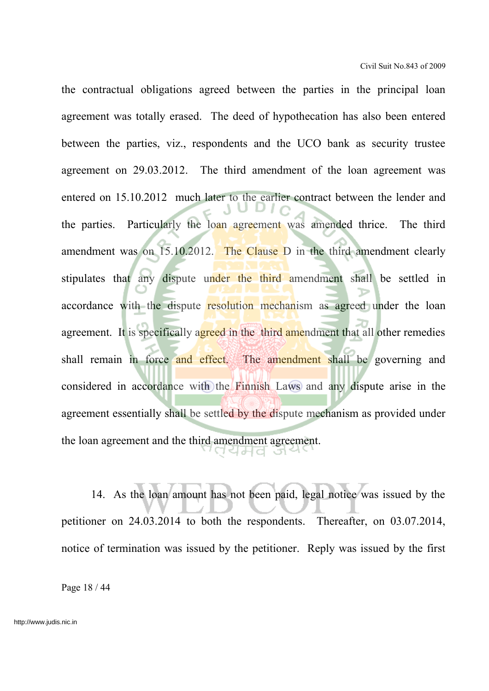the contractual obligations agreed between the parties in the principal loan agreement was totally erased. The deed of hypothecation has also been entered between the parties, viz., respondents and the UCO bank as security trustee agreement on 29.03.2012. The third amendment of the loan agreement was entered on 15.10.2012 much later to the earlier contract between the lender and the parties. Particularly the loan agreement was amended thrice. The third amendment was on 15.10.2012. The Clause D in the third amendment clearly stipulates that any dispute under the third amendment shall be settled in accordance with the dispute resolution mechanism as agreed under the loan agreement. It is specifically agreed in the third amendment that all other remedies shall remain in force and effect. The amendment shall be governing and considered in accordance with the Finnish Laws and any dispute arise in the agreement essentially shall be settled by the dispute mechanism as provided under the loan agreement and the third amendment agreement. 리커다.

14. As the loan amount has not been paid, legal notice was issued by the petitioner on 24.03.2014 to both the respondents. Thereafter, on 03.07.2014, notice of termination was issued by the petitioner. Reply was issued by the first

Page 18 / 44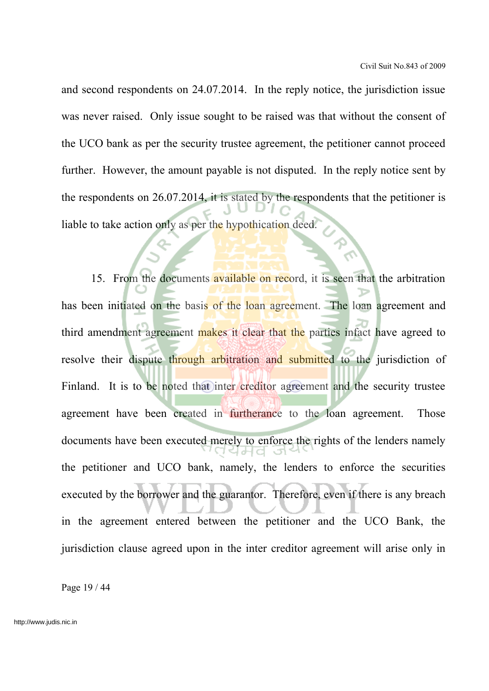and second respondents on 24.07.2014. In the reply notice, the jurisdiction issue was never raised. Only issue sought to be raised was that without the consent of the UCO bank as per the security trustee agreement, the petitioner cannot proceed further. However, the amount payable is not disputed. In the reply notice sent by the respondents on 26.07.2014, it is stated by the respondents that the petitioner is liable to take action only as per the hypothication deed.

15. From the documents available on record, it is seen that the arbitration has been initiated on the basis of the loan agreement. The loan agreement and third amendment agreement makes it clear that the parties infact have agreed to resolve their dispute through arbitration and submitted to the jurisdiction of Finland. It is to be noted that inter creditor agreement and the security trustee agreement have been created in furtherance to the loan agreement. Those documents have been executed merely to enforce the rights of the lenders namely the petitioner and UCO bank, namely, the lenders to enforce the securities executed by the borrower and the guarantor. Therefore, even if there is any breach in the agreement entered between the petitioner and the UCO Bank, the jurisdiction clause agreed upon in the inter creditor agreement will arise only in

Page 19 / 44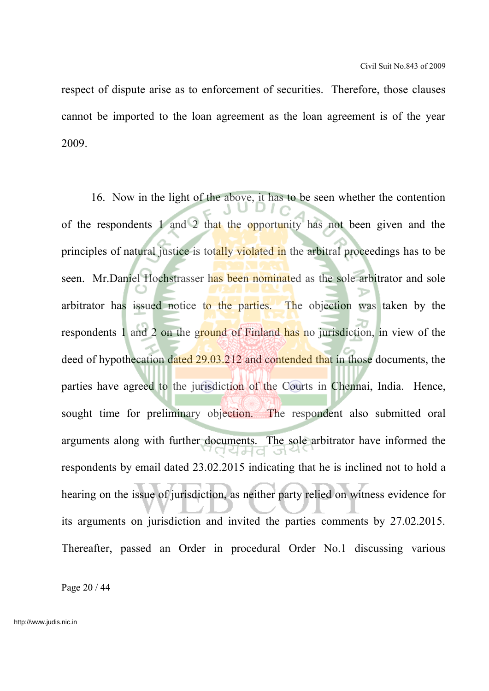respect of dispute arise as to enforcement of securities. Therefore, those clauses cannot be imported to the loan agreement as the loan agreement is of the year 2009.

16. Now in the light of the above, it has to be seen whether the contention of the respondents 1 and 2 that the opportunity has not been given and the principles of natural justice is totally violated in the arbitral proceedings has to be seen. Mr.Daniel Hochstrasser has been nominated as the sole arbitrator and sole arbitrator has issued notice to the parties. The objection was taken by the respondents 1 and 2 on the ground of Finland has no jurisdiction, in view of the deed of hypothecation dated 29.03.212 and contended that in those documents, the parties have agreed to the jurisdiction of the Courts in Chennai, India. Hence, sought time for preliminary objection. The respondent also submitted oral arguments along with further documents. The sole arbitrator have informed the respondents by email dated 23.02.2015 indicating that he is inclined not to hold a hearing on the issue of jurisdiction, as neither party relied on witness evidence for its arguments on jurisdiction and invited the parties comments by 27.02.2015. Thereafter, passed an Order in procedural Order No.1 discussing various

Page 20 / 44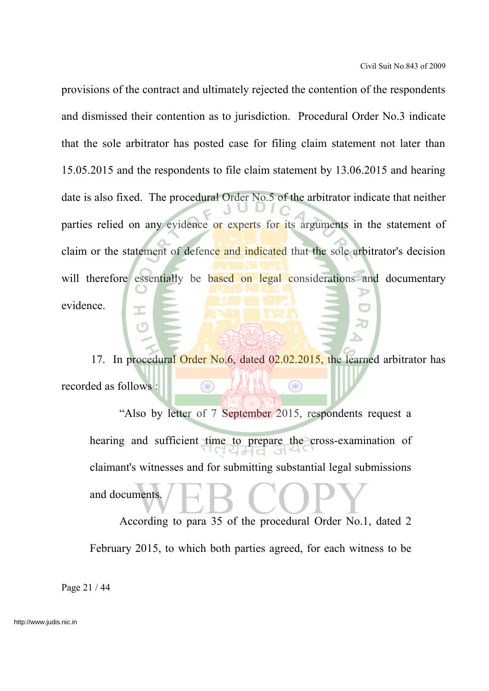provisions of the contract and ultimately rejected the contention of the respondents and dismissed their contention as to jurisdiction. Procedural Order No.3 indicate that the sole arbitrator has posted case for filing claim statement not later than 15.05.2015 and the respondents to file claim statement by 13.06.2015 and hearing date is also fixed. The procedural Order No.5 of the arbitrator indicate that neither parties relied on any evidence or experts for its arguments in the statement of claim or the statement of defence and indicated that the sole arbitrator's decision will therefore essentially be based on legal considerations and documentary evidence.

17. In procedural Order No.6, dated 02.02.2015, the learned arbitrator has recorded as follows :  $\circledcirc$ Œ

"Also by letter of 7 September 2015, respondents request a hearing and sufficient time to prepare the cross-examination of claimant's witnesses and for submitting substantial legal submissions and documents.

According to para 35 of the procedural Order No.1, dated 2 February 2015, to which both parties agreed, for each witness to be

Page 21 / 44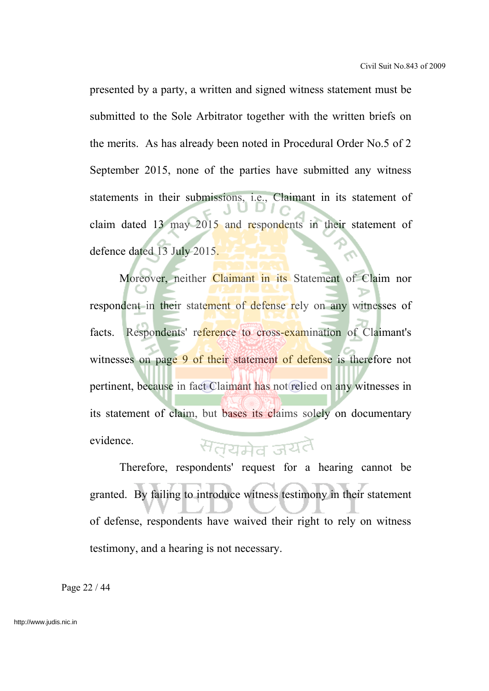presented by a party, a written and signed witness statement must be submitted to the Sole Arbitrator together with the written briefs on the merits. As has already been noted in Procedural Order No.5 of 2 September 2015, none of the parties have submitted any witness statements in their submissions, i.e., Claimant in its statement of claim dated 13 may 2015 and respondents in their statement of defence dated 13 July 2015.

Moreover, neither Claimant in its Statement of Claim nor respondent in their statement of defense rely on any witnesses of facts. Respondents' reference to cross-examination of Claimant's witnesses on page 9 of their statement of defense is therefore not pertinent, because in fact Claimant has not relied on any witnesses in its statement of claim, but bases its claims solely on documentary evidence. सतयमेव जयतै

Therefore, respondents' request for a hearing cannot be granted. By failing to introduce witness testimony in their statement of defense, respondents have waived their right to rely on witness testimony, and a hearing is not necessary.

Page 22 / 44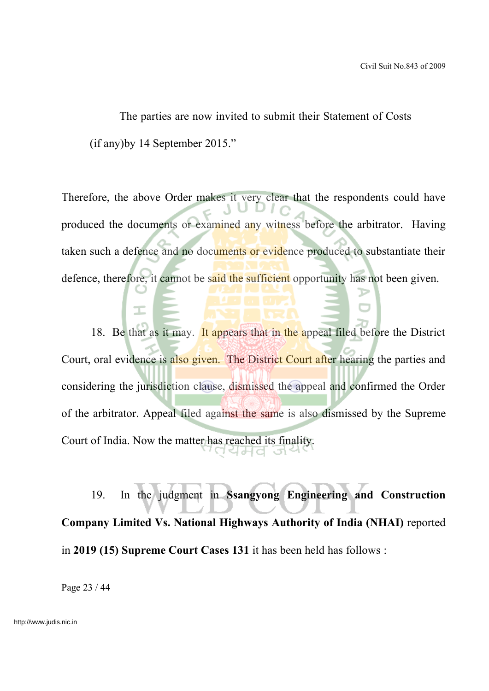The parties are now invited to submit their Statement of Costs (if any)by 14 September 2015."

Therefore, the above Order makes it very clear that the respondents could have produced the documents or examined any witness before the arbitrator. Having taken such a defence and no documents or evidence produced to substantiate their defence, therefore, it cannot be said the sufficient opportunity has not been given.

18. Be that as it may. It appears that in the appeal filed before the District Court, oral evidence is also given. The District Court after hearing the parties and considering the jurisdiction clause, dismissed the appeal and confirmed the Order of the arbitrator. Appeal filed against the same is also dismissed by the Supreme Court of India. Now the matter has reached its finality. ਰੀ ਪ

19. In the judgment in **Ssangyong Engineering and Construction Company Limited Vs. National Highways Authority of India (NHAI)** reported in **2019 (15) Supreme Court Cases 131** it has been held has follows :

Page 23 / 44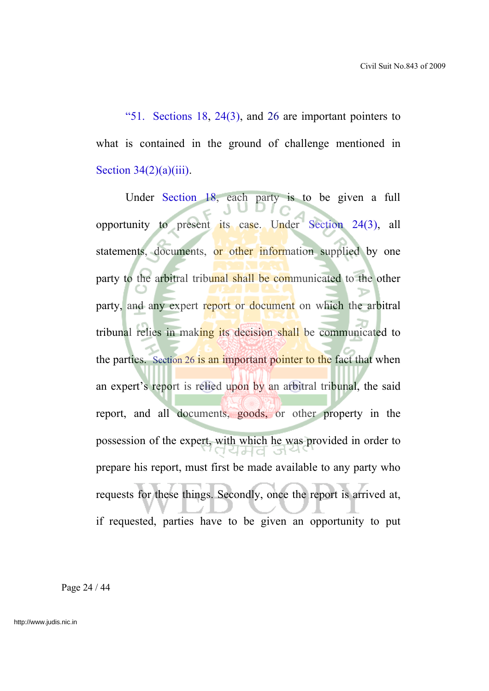"51. Sections  $18, 24(3)$ , and  $26$  are important pointers to what is contained in the ground of challenge mentioned in Section  $34(2)(a)(iii)$ .

Under Section 18, each party is to be given a full opportunity to present its case. Under Section 24(3), all statements, documents, or other information supplied by one party to the arbitral tribunal shall be communicated to the other party, and any expert report or document on which the arbitral tribunal relies in making its decision shall be communicated to the parties. Section 26 is an important pointer to the fact that when an expert's report is relied upon by an arbitral tribunal, the said report, and all documents, goods, or other property in the possession of the expert, with which he was provided in order to prepare his report, must first be made available to any party who requests for these things. Secondly, once the report is arrived at, if requested, parties have to be given an opportunity to put

Page 24 / 44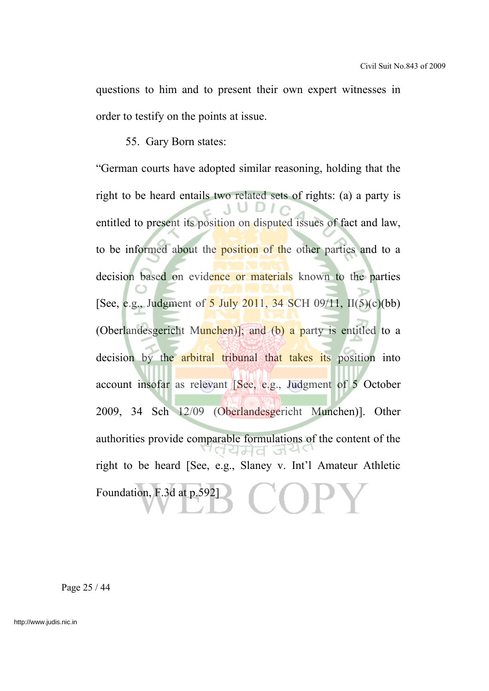questions to him and to present their own expert witnesses in order to testify on the points at issue.

55. Gary Born states:

"German courts have adopted similar reasoning, holding that the right to be heard entails two related sets of rights: (a) a party is  $101c$ entitled to present its position on disputed issues of fact and law, to be informed about the position of the other parties and to a decision based on evidence or materials known to the parties [See, e.g., Judgment of  $5$  July 2011, 34 SCH 09/11, II(5)(c)(bb) (Oberlandesgericht Munchen)]; and (b) a party is entitled to a decision by the arbitral tribunal that takes its position into account insofar as relevant [See, e.g., Judgment of 5 October 2009, 34 Sch 12/09 (Oberlandesgericht Munchen)]. Other authorities provide comparable formulations of the content of the ਰਪਸਰ ਤੋਂ right to be heard [See, e.g., Slaney v. Int'l Amateur Athletic Foundation, F.3d at p.592]  $\bigoplus$ 

Page 25 / 44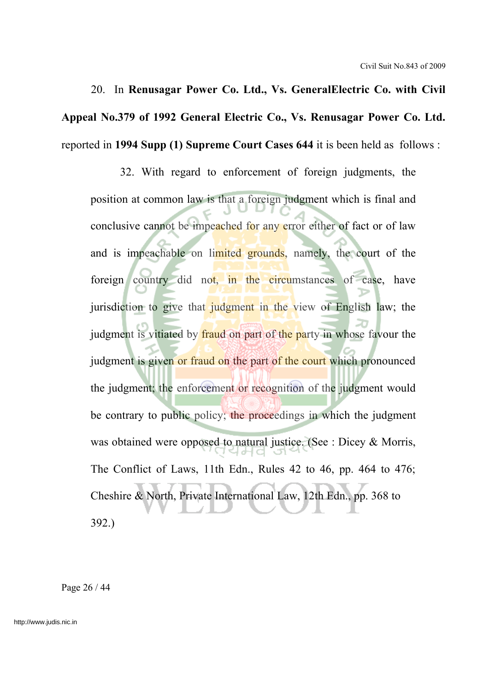# 20. In **Renusagar Power Co. Ltd., Vs. GeneralElectric Co. with Civil Appeal No.379 of 1992 General Electric Co., Vs. Renusagar Power Co. Ltd.** reported in **1994 Supp (1) Supreme Court Cases 644** it is been held as follows :

32. With regard to enforcement of foreign judgments, the position at common law is that a foreign judgment which is final and conclusive cannot be impeached for any error either of fact or of law and is impeachable on limited grounds, namely, the court of the foreign country did not, in the circumstances of case, have jurisdiction to give that judgment in the view of English law; the judgment is vitiated by fraud on part of the party in whose favour the judgment is given or fraud on the part of the court which pronounced the judgment; the enforcement or recognition of the judgment would be contrary to public policy; the proceedings in which the judgment was obtained were opposed to natural justice. (See : Dicey & Morris, The Conflict of Laws, 11th Edn., Rules 42 to 46, pp. 464 to 476; Cheshire & North, Private International Law, 12th Edn., pp. 368 to 392.)

Page 26 / 44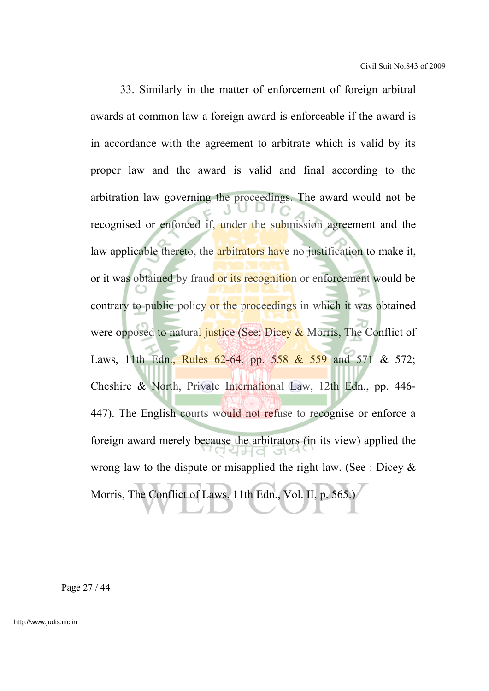33. Similarly in the matter of enforcement of foreign arbitral awards at common law a foreign award is enforceable if the award is in accordance with the agreement to arbitrate which is valid by its proper law and the award is valid and final according to the arbitration law governing the proceedings. The award would not be recognised or enforced if, under the submission agreement and the law applicable thereto, the **arbitrators** have no justification to make it, or it was obtained by fraud or its recognition or enforcement would be contrary to public policy or the proceedings in which it was obtained were opposed to natural justice (See: Dicey & Morris, The Conflict of Laws, 11th Edn., Rules 62-64, pp. 558 & 559 and 571 & 572; Cheshire & North, Private International Law, 12th Edn., pp. 446- 447). The English courts would not refuse to recognise or enforce a foreign award merely because the arbitrators (in its view) applied the wrong law to the dispute or misapplied the right law. (See : Dicey  $\&$ Morris, The Conflict of Laws, 11th Edn., Vol. II, p. 565.)

Page 27 / 44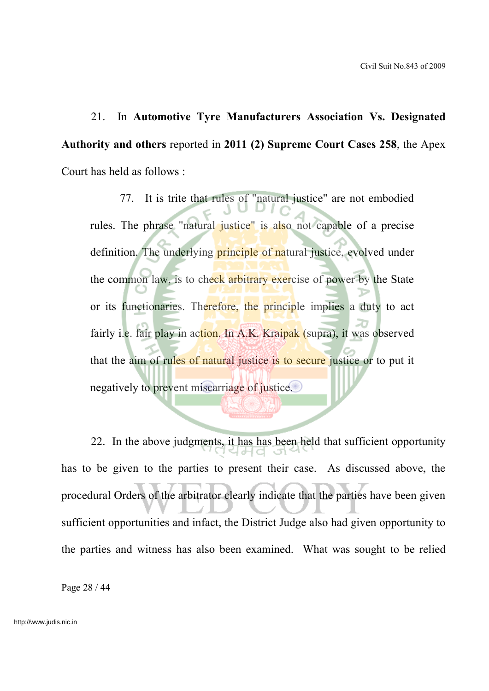21. In **Automotive Tyre Manufacturers Association Vs. Designated Authority and others** reported in **2011 (2) Supreme Court Cases 258**, the Apex Court has held as follows :

77. It is trite that rules of "natural justice" are not embodied rules. The phrase "natural justice" is also not capable of a precise definition. The underlying **principle** of natural justice, evolved under the common law, is to check arbitrary exercise of power by the State or its functionaries. Therefore, the principle implies a duty to act fairly i.e. fair play in action. In A.K. Kraipak (supra), it was observed that the aim of rules of natural justice is to secure justice or to put it negatively to prevent miscarriage of justice.

22. In the above judgments, it has has been held that sufficient opportunity 1세 이 has to be given to the parties to present their case. As discussed above, the procedural Orders of the arbitrator clearly indicate that the parties have been given sufficient opportunities and infact, the District Judge also had given opportunity to the parties and witness has also been examined. What was sought to be relied

Page 28 / 44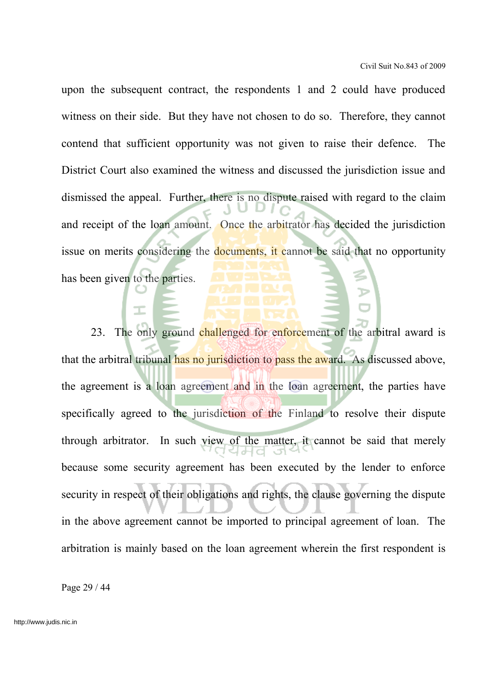upon the subsequent contract, the respondents 1 and 2 could have produced witness on their side. But they have not chosen to do so. Therefore, they cannot contend that sufficient opportunity was not given to raise their defence. The District Court also examined the witness and discussed the jurisdiction issue and dismissed the appeal. Further, there is no dispute raised with regard to the claim and receipt of the loan amount. Once the arbitrator has decided the jurisdiction issue on merits considering the **documents**, it cannot be said that no opportunity has been given to the parties.

23. The only ground challenged for enforcement of the arbitral award is that the arbitral tribunal has no jurisdiction to pass the award. As discussed above, the agreement is a loan agreement and in the loan agreement, the parties have specifically agreed to the jurisdiction of the Finland to resolve their dispute through arbitrator. In such view of the matter, it cannot be said that merely because some security agreement has been executed by the lender to enforce security in respect of their obligations and rights, the clause governing the dispute in the above agreement cannot be imported to principal agreement of loan. The arbitration is mainly based on the loan agreement wherein the first respondent is

Page 29 / 44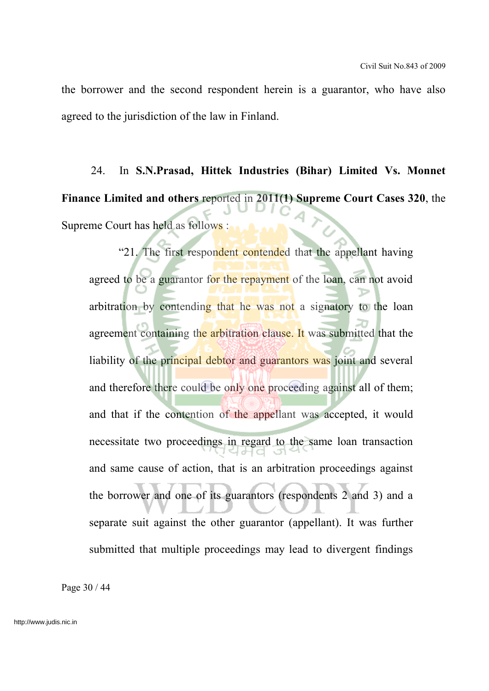the borrower and the second respondent herein is a guarantor, who have also agreed to the jurisdiction of the law in Finland.

24. In **S.N.Prasad, Hittek Industries (Bihar) Limited Vs. Monnet Finance Limited and others** reported in **2011(1) Supreme Court Cases 320**, the Supreme Court has held as follows :

"21. The first respondent contended that the appellant having agreed to be a guarantor for the repayment of the loan, can not avoid arbitration by contending that he was not a signatory to the loan agreement containing the arbitration clause. It was submitted that the liability of the principal debtor and guarantors was joint and several and therefore there could be only one proceeding against all of them; and that if the contention of the appellant was accepted, it would necessitate two proceedings in regard to the same loan transaction and same cause of action, that is an arbitration proceedings against the borrower and one of its guarantors (respondents 2 and 3) and a separate suit against the other guarantor (appellant). It was further submitted that multiple proceedings may lead to divergent findings

Page 30 / 44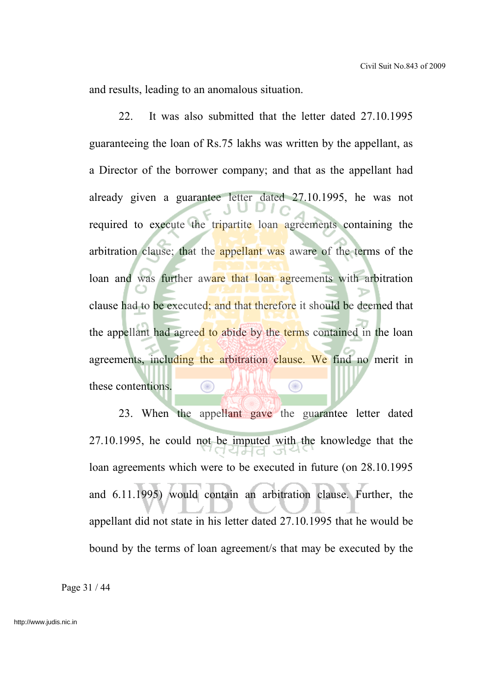and results, leading to an anomalous situation.

22. It was also submitted that the letter dated 27.10.1995 guaranteeing the loan of Rs.75 lakhs was written by the appellant, as a Director of the borrower company; and that as the appellant had already given a guarantee letter dated 27.10.1995, he was not required to execute the tripartite loan agreements containing the arbitration clause; that the appellant was aware of the terms of the loan and was further aware that loan agreements with arbitration clause had to be executed; and that therefore it should be deemed that the appellant had agreed to abide by the terms contained in the loan agreements, including the arbitration clause. We find no merit in these contentions.  $\circledcirc$  $\circledcirc$ 

23. When the appellant gave the guarantee letter dated 27.10.1995, he could not be imputed with the knowledge that the loan agreements which were to be executed in future (on 28.10.1995 and 6.11.1995) would contain an arbitration clause. Further, the appellant did not state in his letter dated 27.10.1995 that he would be bound by the terms of loan agreement/s that may be executed by the

Page 31 / 44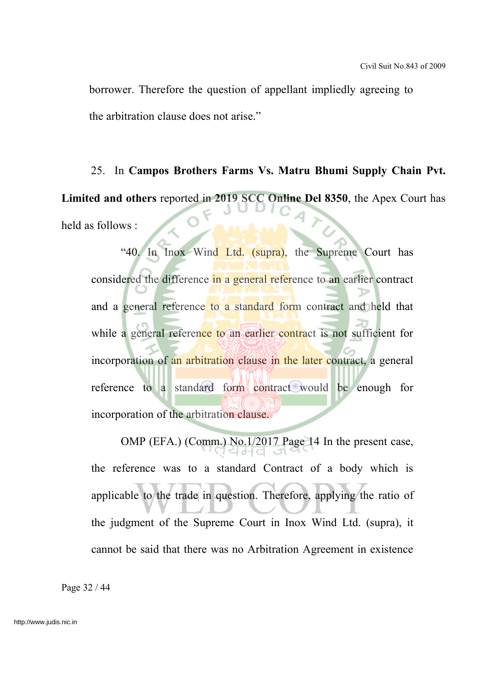borrower. Therefore the question of appellant impliedly agreeing to the arbitration clause does not arise."

25. In **Campos Brothers Farms Vs. Matru Bhumi Supply Chain Pvt. Limited and others** reported in **2019 SCC Online Del 8350**, the Apex Court has held as follows :

"40. In Inox Wind Ltd. (supra), the Supreme Court has considered the difference in a general reference to an earlier contract and a general reference to a standard form contract and held that while a general reference to an earlier contract is not sufficient for incorporation of an arbitration clause in the later contract, a general reference to a standard form contract would be enough for incorporation of the arbitration clause.

OMP (EFA.) (Comm.) No.1/2017 Page 14 In the present case, the reference was to a standard Contract of a body which is applicable to the trade in question. Therefore, applying the ratio of the judgment of the Supreme Court in Inox Wind Ltd. (supra), it cannot be said that there was no Arbitration Agreement in existence

Page 32 / 44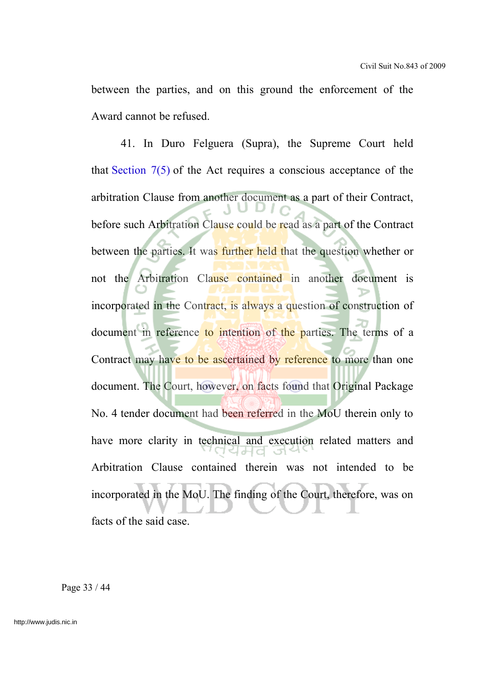between the parties, and on this ground the enforcement of the Award cannot be refused.

41. In Duro Felguera (Supra), the Supreme Court held that Section 7(5) of the Act requires a conscious acceptance of the arbitration Clause from another document as a part of their Contract, before such Arbitration Clause could be read as a part of the Contract between the parties. It was further held that the question whether or not the Arbitration Clause contained in another document is incorporated in the Contract, is always a question of construction of document in reference to intention of the parties. The terms of a Contract may have to be ascertained by reference to more than one document. The Court, however, on facts found that Original Package No. 4 tender document had been referred in the MoU therein only to have more clarity in technical and execution related matters and Arbitration Clause contained therein was not intended to be incorporated in the MoU. The finding of the Court, therefore, was on facts of the said case.

Page 33 / 44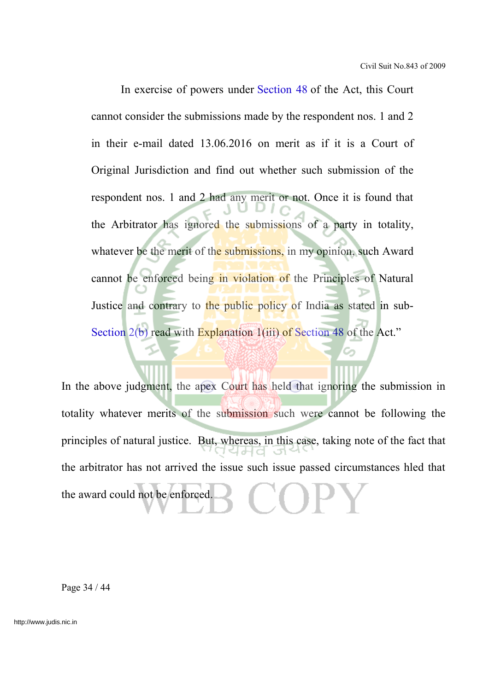In exercise of powers under Section 48 of the Act, this Court cannot consider the submissions made by the respondent nos. 1 and 2 in their e-mail dated 13.06.2016 on merit as if it is a Court of Original Jurisdiction and find out whether such submission of the respondent nos. 1 and 2 had any merit or not. Once it is found that the Arbitrator has ignored the submissions of a party in totality, whatever be the merit of the submissions, in my opinion, such Award cannot be enforced being in violation of the Principles of Natural Justice and contrary to the public policy of India as stated in sub-Section 2(b) read with Explanation 1(iii) of Section 48 of the Act."

In the above judgment, the apex Court has held that ignoring the submission in totality whatever merits of the submission such were cannot be following the principles of natural justice. But, whereas, in this case, taking note of the fact that the arbitrator has not arrived the issue such issue passed circumstances hled that the award could not be enforced.

Page 34 / 44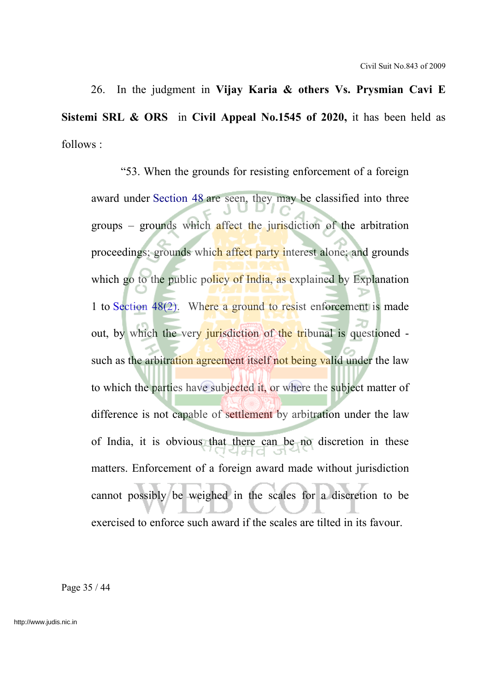26. In the judgment in **Vijay Karia & others Vs. Prysmian Cavi E Sistemi SRL & ORS** in **Civil Appeal No.1545 of 2020,** it has been held as follows :

"53. When the grounds for resisting enforcement of a foreign award under Section 48 are seen, they may be classified into three groups – grounds which affect the jurisdiction of the arbitration proceedings; grounds which affect party interest alone; and grounds which go to the public policy of India, as explained by Explanation 1 to Section 48(2). Where a ground to resist enforcement is made out, by which the very jurisdiction of the tribunal is questioned such as the arbitration agreement itself not being valid under the law to which the parties have subjected it, or where the subject matter of difference is not capable of settlement by arbitration under the law of India, it is obvious that there can be no discretion in these matters. Enforcement of a foreign award made without jurisdiction cannot possibly be weighed in the scales for a discretion to be exercised to enforce such award if the scales are tilted in its favour.

Page 35 / 44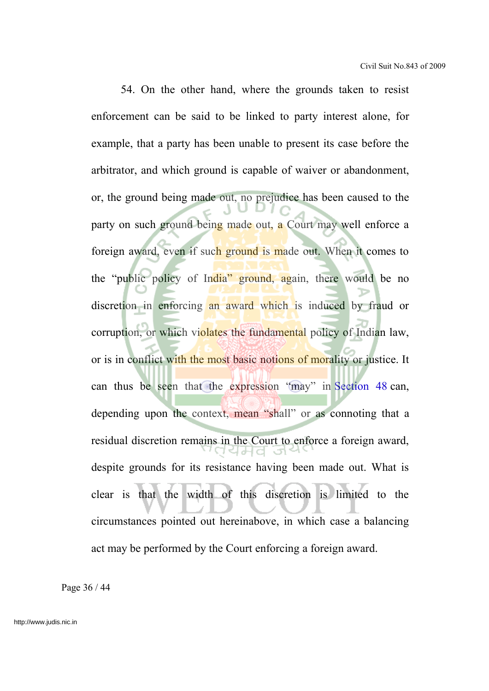54. On the other hand, where the grounds taken to resist enforcement can be said to be linked to party interest alone, for example, that a party has been unable to present its case before the arbitrator, and which ground is capable of waiver or abandonment, or, the ground being made out, no prejudice has been caused to the party on such ground being made out, a Court may well enforce a foreign award, even if such ground is made out. When it comes to the "public policy of India" ground, again, there would be no discretion in enforcing an award which is induced by fraud or corruption, or which violates the fundamental policy of Indian law, or is in conflict with the most basic notions of morality or justice. It can thus be seen that the expression "may" in Section 48 can, depending upon the context, mean "shall" or as connoting that a residual discretion remains in the Court to enforce a foreign award, despite grounds for its resistance having been made out. What is clear is that the width of this discretion is limited to the circumstances pointed out hereinabove, in which case a balancing act may be performed by the Court enforcing a foreign award.

Page 36 / 44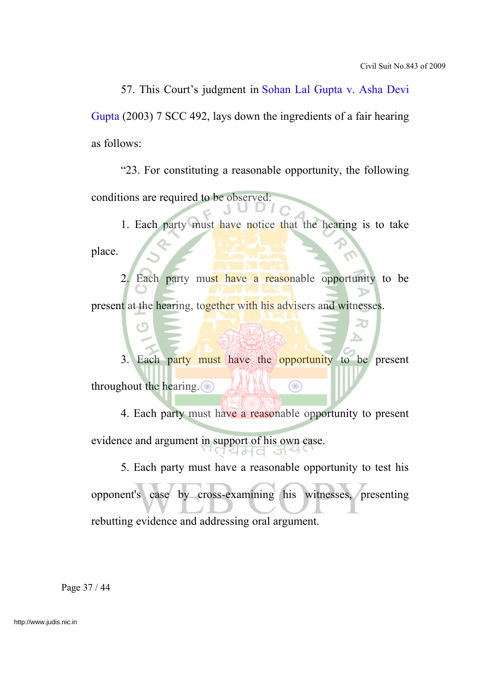57. This Court's judgment in Sohan Lal Gupta v. Asha Devi Gupta (2003) 7 SCC 492, lays down the ingredients of a fair hearing as follows:

"23. For constituting a reasonable opportunity, the following conditions are required to be observed:

1. Each party must have notice that the hearing is to take place.

2. Each party must have a reasonable opportunity to be present at the hearing, together with his advisers and witnesses.

3. Each party must have the opportunity to be present throughout the hearing.  $\circledcirc$ 

4. Each party must have a reasonable opportunity to present evidence and argument in support of his own case.

l d-l cl

5. Each party must have a reasonable opportunity to test his opponent's case by cross-examining his witnesses, presenting rebutting evidence and addressing oral argument.

Page 37 / 44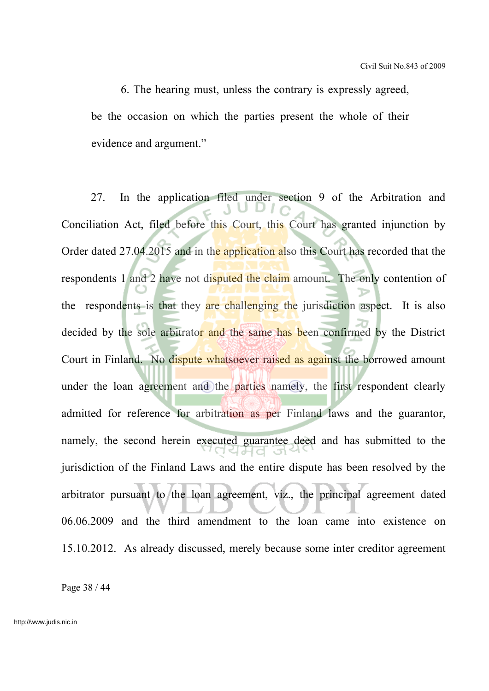6. The hearing must, unless the contrary is expressly agreed, be the occasion on which the parties present the whole of their evidence and argument."

27. In the application filed under section 9 of the Arbitration and Conciliation Act, filed before this Court, this Court has granted injunction by Order dated 27.04.2015 and in the application also this Court has recorded that the respondents 1 and 2 have not disputed the claim amount. The only contention of the respondents is that they are challenging the jurisdiction aspect. It is also decided by the sole arbitrator and the same has been confirmed by the District Court in Finland. No dispute whatsoever raised as against the borrowed amount under the loan agreement and the parties namely, the first respondent clearly admitted for reference for arbitration as per Finland laws and the guarantor, namely, the second herein executed guarantee deed and has submitted to the jurisdiction of the Finland Laws and the entire dispute has been resolved by the arbitrator pursuant to the loan agreement, viz., the principal agreement dated 06.06.2009 and the third amendment to the loan came into existence on 15.10.2012. As already discussed, merely because some inter creditor agreement

Page 38 / 44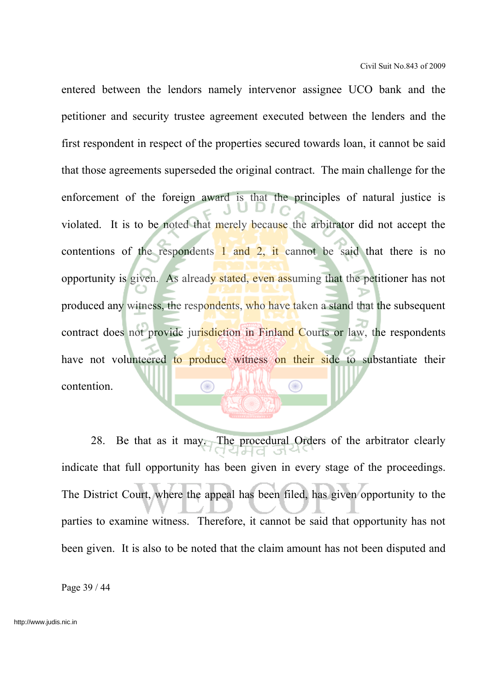entered between the lendors namely intervenor assignee UCO bank and the petitioner and security trustee agreement executed between the lenders and the first respondent in respect of the properties secured towards loan, it cannot be said that those agreements superseded the original contract. The main challenge for the enforcement of the foreign award is that the principles of natural justice is violated. It is to be noted that merely because the arbitrator did not accept the contentions of the respondents  $1$  and  $2$ , it cannot be said that there is no opportunity is given. As already stated, even assuming that the petitioner has not produced any witness, the respondents, who have taken a stand that the subsequent contract does not provide jurisdiction in Finland Courts or law, the respondents have not volunteered to produce witness on their side to substantiate their contention.

28. Be that as it may. The procedural Orders of the arbitrator clearly indicate that full opportunity has been given in every stage of the proceedings. The District Court, where the appeal has been filed, has given opportunity to the parties to examine witness. Therefore, it cannot be said that opportunity has not been given. It is also to be noted that the claim amount has not been disputed and

Page 39 / 44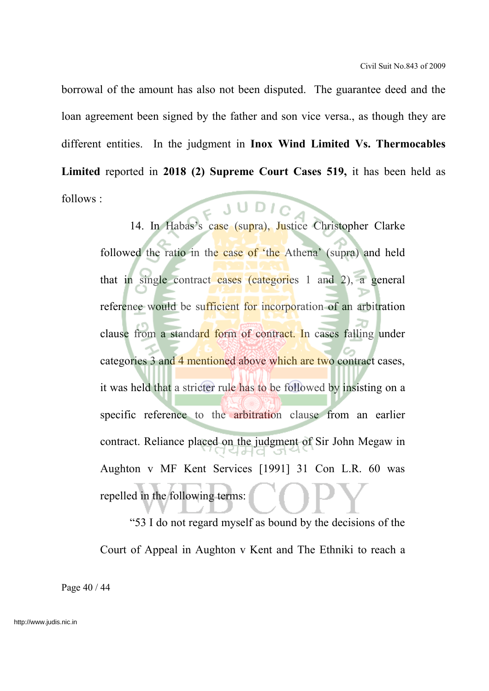borrowal of the amount has also not been disputed. The guarantee deed and the loan agreement been signed by the father and son vice versa., as though they are different entities. In the judgment in **Inox Wind Limited Vs. Thermocables Limited** reported in **2018 (2) Supreme Court Cases 519,** it has been held as follows :

14. In Habas's case (supra), Justice Christopher Clarke followed the ratio in the case of 'the Athena' (supra) and held that in single contract cases (categories 1 and 2), a general reference would be sufficient for incorporation of an arbitration clause from a standard form of contract. In cases falling under categories 3 and 4 mentioned above which are two contract cases, it was held that a stricter rule has to be followed by insisting on a specific reference to the arbitration clause from an earlier contract. Reliance placed on the judgment of Sir John Megaw in Aughton v MF Kent Services [1991] 31 Con L.R. 60 was repelled in the following terms:

"53 I do not regard myself as bound by the decisions of the Court of Appeal in Aughton v Kent and The Ethniki to reach a

Page 40 / 44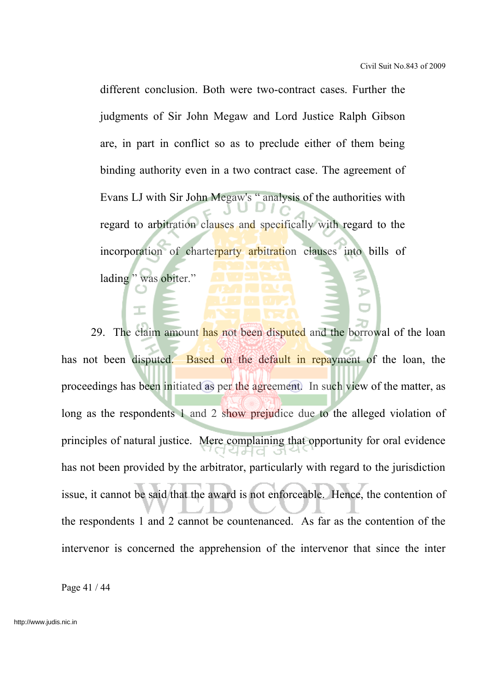different conclusion. Both were two-contract cases. Further the judgments of Sir John Megaw and Lord Justice Ralph Gibson are, in part in conflict so as to preclude either of them being binding authority even in a two contract case. The agreement of Evans LJ with Sir John Megaw's " analysis of the authorities with regard to arbitration clauses and specifically with regard to the incorporation of charterparty arbitration clauses into bills of

lading " was obiter."

29. The claim amount has not been disputed and the borrowal of the loan has not been disputed. Based on the default in repayment of the loan, the proceedings has been initiated as per the agreement. In such view of the matter, as long as the respondents 1 and 2 show prejudice due to the alleged violation of principles of natural justice. Mere complaining that opportunity for oral evidence has not been provided by the arbitrator, particularly with regard to the jurisdiction issue, it cannot be said that the award is not enforceable. Hence, the contention of the respondents 1 and 2 cannot be countenanced. As far as the contention of the intervenor is concerned the apprehension of the intervenor that since the inter

Page 41 / 44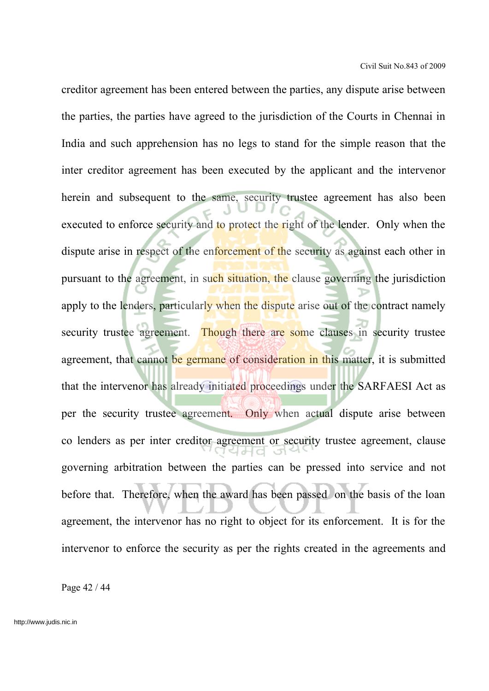creditor agreement has been entered between the parties, any dispute arise between the parties, the parties have agreed to the jurisdiction of the Courts in Chennai in India and such apprehension has no legs to stand for the simple reason that the inter creditor agreement has been executed by the applicant and the intervenor herein and subsequent to the same, security trustee agreement has also been executed to enforce security and to protect the right of the lender. Only when the dispute arise in respect of the enforcement of the security as against each other in pursuant to the agreement, in such situation, the clause governing the jurisdiction apply to the lenders, particularly when the dispute arise out of the contract namely security trustee agreement. Though there are some clauses in security trustee agreement, that cannot be germane of consideration in this matter, it is submitted that the intervenor has already initiated proceedings under the SARFAESI Act as per the security trustee agreement. Only when actual dispute arise between co lenders as per inter creditor agreement or security trustee agreement, clause ᅥᆔᇹ governing arbitration between the parties can be pressed into service and not before that. Therefore, when the award has been passed on the basis of the loan agreement, the intervenor has no right to object for its enforcement. It is for the intervenor to enforce the security as per the rights created in the agreements and

Page 42 / 44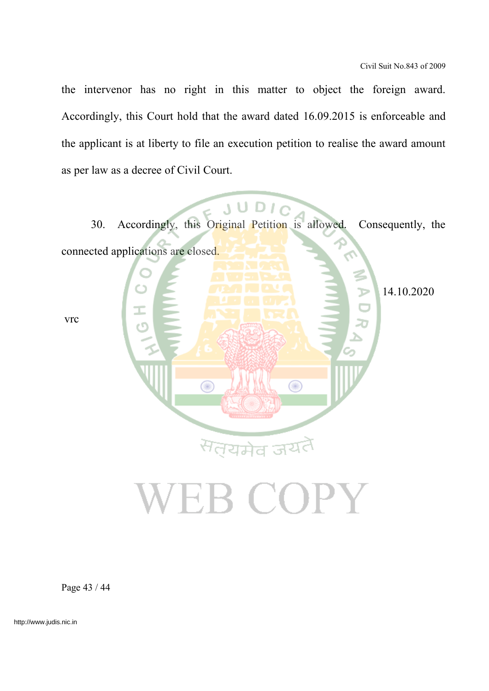the intervenor has no right in this matter to object the foreign award. Accordingly, this Court hold that the award dated 16.09.2015 is enforceable and the applicant is at liberty to file an execution petition to realise the award amount as per law as a decree of Civil Court.



Page 43 / 44